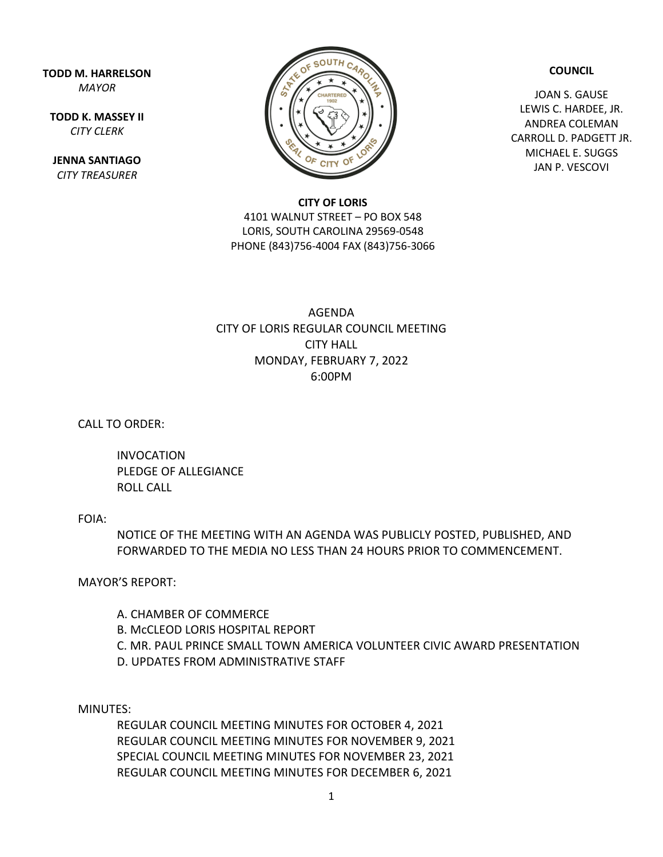**TODD M. HARRELSON** *MAYOR*

**TODD K. MASSEY II** *CITY CLERK*

**JENNA SANTIAGO** *CITY TREASURER*



**COUNCIL**

JOAN S. GAUSE LEWIS C. HARDEE, JR. ANDREA COLEMAN CARROLL D. PADGETT JR. MICHAEL E. SUGGS JAN P. VESCOVI

## **CITY OF LORIS**

4101 WALNUT STREET – PO BOX 548 LORIS, SOUTH CAROLINA 29569-0548 PHONE (843)756-4004 FAX (843)756-3066

## AGENDA CITY OF LORIS REGULAR COUNCIL MEETING CITY HALL MONDAY, FEBRUARY 7, 2022 6:00PM

CALL TO ORDER:

INVOCATION PLEDGE OF ALLEGIANCE ROLL CALL

## FOIA:

NOTICE OF THE MEETING WITH AN AGENDA WAS PUBLICLY POSTED, PUBLISHED, AND FORWARDED TO THE MEDIA NO LESS THAN 24 HOURS PRIOR TO COMMENCEMENT.

MAYOR'S REPORT:

A. CHAMBER OF COMMERCE B. McCLEOD LORIS HOSPITAL REPORT C. MR. PAUL PRINCE SMALL TOWN AMERICA VOLUNTEER CIVIC AWARD PRESENTATION D. UPDATES FROM ADMINISTRATIVE STAFF

MINUTES:

REGULAR COUNCIL MEETING MINUTES FOR OCTOBER 4, 2021 REGULAR COUNCIL MEETING MINUTES FOR NOVEMBER 9, 2021 SPECIAL COUNCIL MEETING MINUTES FOR NOVEMBER 23, 2021 REGULAR COUNCIL MEETING MINUTES FOR DECEMBER 6, 2021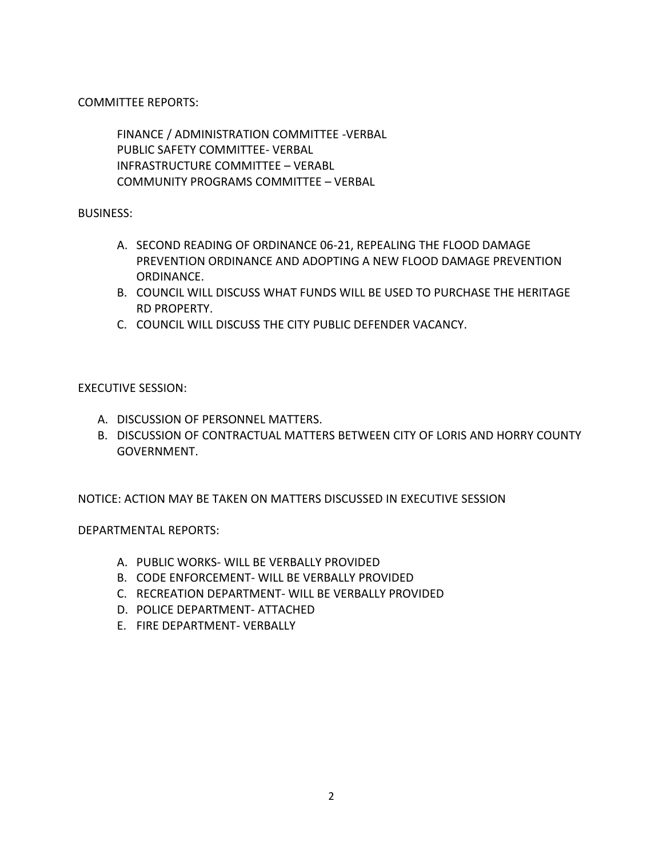COMMITTEE REPORTS:

FINANCE / ADMINISTRATION COMMITTEE -VERBAL PUBLIC SAFETY COMMITTEE- VERBAL INFRASTRUCTURE COMMITTEE – VERABL COMMUNITY PROGRAMS COMMITTEE – VERBAL

BUSINESS:

- A. SECOND READING OF ORDINANCE 06-21, REPEALING THE FLOOD DAMAGE PREVENTION ORDINANCE AND ADOPTING A NEW FLOOD DAMAGE PREVENTION ORDINANCE.
- B. COUNCIL WILL DISCUSS WHAT FUNDS WILL BE USED TO PURCHASE THE HERITAGE RD PROPERTY.
- C. COUNCIL WILL DISCUSS THE CITY PUBLIC DEFENDER VACANCY.

EXECUTIVE SESSION:

- A. DISCUSSION OF PERSONNEL MATTERS.
- B. DISCUSSION OF CONTRACTUAL MATTERS BETWEEN CITY OF LORIS AND HORRY COUNTY GOVERNMENT.

NOTICE: ACTION MAY BE TAKEN ON MATTERS DISCUSSED IN EXECUTIVE SESSION

DEPARTMENTAL REPORTS:

- A. PUBLIC WORKS- WILL BE VERBALLY PROVIDED
- B. CODE ENFORCEMENT- WILL BE VERBALLY PROVIDED
- C. RECREATION DEPARTMENT- WILL BE VERBALLY PROVIDED
- D. POLICE DEPARTMENT- ATTACHED
- E. FIRE DEPARTMENT- VERBALLY